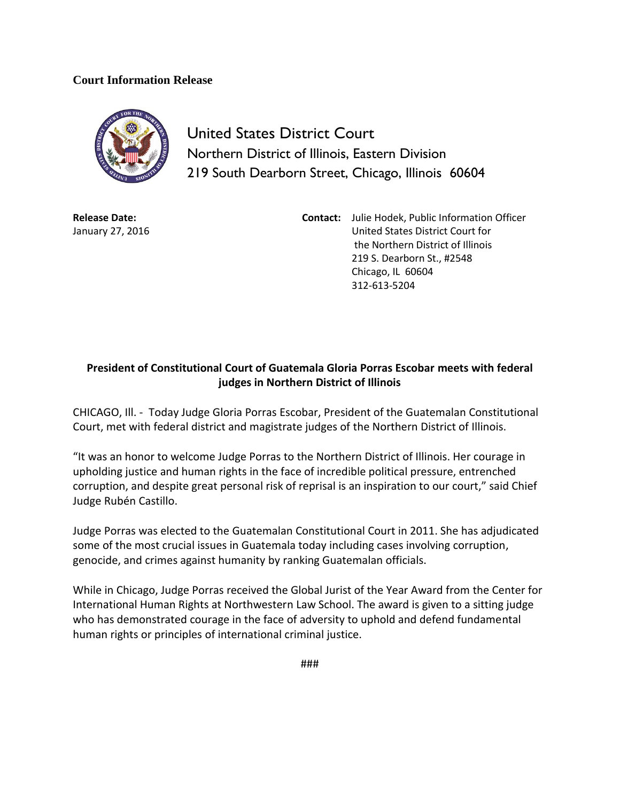## **Court Information Release**



United States District Court Northern District of Illinois, Eastern Division 219 South Dearborn Street, Chicago, Illinois 60604

**Release Date:** January 27, 2016 **Contact:** Julie Hodek, Public Information Officer United States District Court for the Northern District of Illinois 219 S. Dearborn St., #2548 Chicago, IL 60604 312-613-5204

## **President of Constitutional Court of Guatemala Gloria Porras Escobar meets with federal judges in Northern District of Illinois**

CHICAGO, Ill. - Today Judge Gloria Porras Escobar, President of the Guatemalan Constitutional Court, met with federal district and magistrate judges of the Northern District of Illinois.

"It was an honor to welcome Judge Porras to the Northern District of Illinois. Her courage in upholding justice and human rights in the face of incredible political pressure, entrenched corruption, and despite great personal risk of reprisal is an inspiration to our court," said Chief Judge Rubén Castillo.

Judge Porras was elected to the Guatemalan Constitutional Court in 2011. She has adjudicated some of the most crucial issues in Guatemala today including cases involving corruption, genocide, and crimes against humanity by ranking Guatemalan officials.

While in Chicago, Judge Porras received the Global Jurist of the Year Award from the Center for International Human Rights at Northwestern Law School. The award is given to a sitting judge who has demonstrated courage in the face of adversity to uphold and defend fundamental human rights or principles of international criminal justice.

###